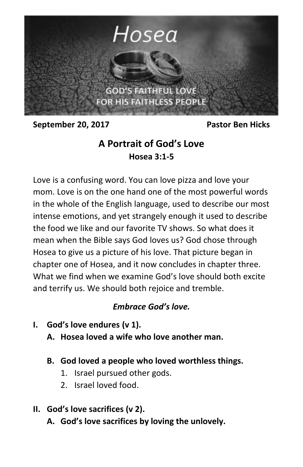

**September 20, 2017** Pastor Ben Hicks

# **A Portrait of God's Love Hosea 3:1-5**

Love is a confusing word. You can love pizza and love your mom. Love is on the one hand one of the most powerful words in the whole of the English language, used to describe our most intense emotions, and yet strangely enough it used to describe the food we like and our favorite TV shows. So what does it mean when the Bible says God loves us? God chose through Hosea to give us a picture of his love. That picture began in chapter one of Hosea, and it now concludes in chapter three. What we find when we examine God's love should both excite and terrify us. We should both rejoice and tremble.

# *Embrace God's love.*

- **I. God's love endures (v 1).**
	- **A. Hosea loved a wife who love another man.**
	- **B. God loved a people who loved worthless things.**
		- 1. Israel pursued other gods.
		- 2. Israel loved food.
- **II. God's love sacrifices (v 2).**
	- **A. God's love sacrifices by loving the unlovely.**